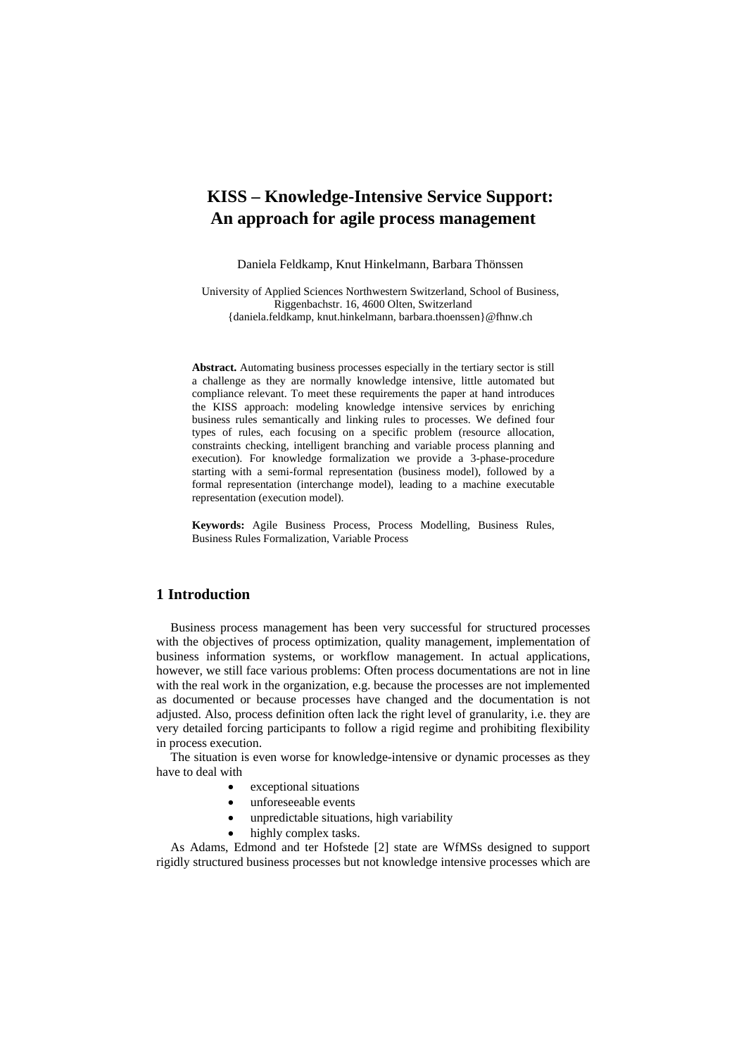# **KISS – Knowledge-Intensive Service Support: An approach for agile process management**

Daniela Feldkamp, Knut Hinkelmann, Barbara Thönssen

University of Applied Sciences Northwestern Switzerland, School of Business, Riggenbachstr. 16, 4600 Olten, Switzerland {daniela.feldkamp, knut.hinkelmann, barbara.thoenssen}@fhnw.ch

**Abstract.** Automating business processes especially in the tertiary sector is still a challenge as they are normally knowledge intensive, little automated but compliance relevant. To meet these requirements the paper at hand introduces the KISS approach: modeling knowledge intensive services by enriching business rules semantically and linking rules to processes. We defined four types of rules, each focusing on a specific problem (resource allocation, constraints checking, intelligent branching and variable process planning and execution). For knowledge formalization we provide a 3-phase-procedure starting with a semi-formal representation (business model), followed by a formal representation (interchange model), leading to a machine executable representation (execution model).

**Keywords:** Agile Business Process, Process Modelling, Business Rules, Business Rules Formalization, Variable Process

# **1 Introduction**

Business process management has been very successful for structured processes with the objectives of process optimization, quality management, implementation of business information systems, or workflow management. In actual applications, however, we still face various problems: Often process documentations are not in line with the real work in the organization, e.g. because the processes are not implemented as documented or because processes have changed and the documentation is not adjusted. Also, process definition often lack the right level of granularity, i.e. they are very detailed forcing participants to follow a rigid regime and prohibiting flexibility in process execution.

The situation is even worse for knowledge-intensive or dynamic processes as they have to deal with

- exceptional situations
- unforeseeable events
- unpredictable situations, high variability
- highly complex tasks.

As Adams, Edmond and ter Hofstede [2] state are WfMSs designed to support rigidly structured business processes but not knowledge intensive processes which are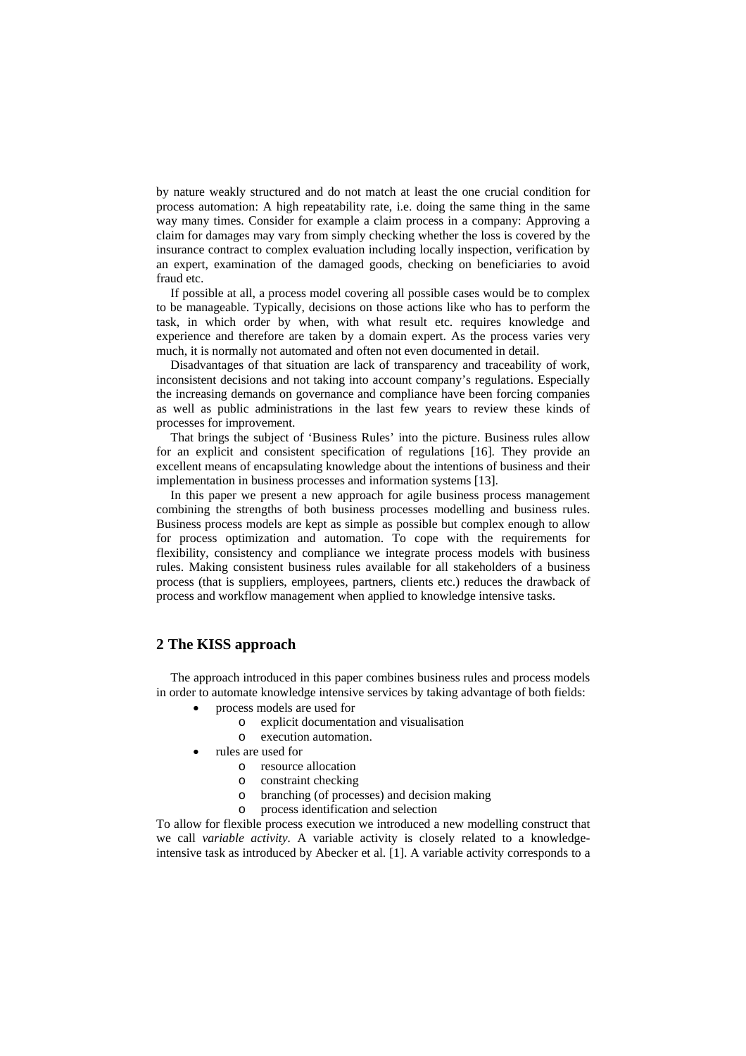by nature weakly structured and do not match at least the one crucial condition for process automation: A high repeatability rate, i.e. doing the same thing in the same way many times. Consider for example a claim process in a company: Approving a claim for damages may vary from simply checking whether the loss is covered by the insurance contract to complex evaluation including locally inspection, verification by an expert, examination of the damaged goods, checking on beneficiaries to avoid fraud etc.

If possible at all, a process model covering all possible cases would be to complex to be manageable. Typically, decisions on those actions like who has to perform the task, in which order by when, with what result etc. requires knowledge and experience and therefore are taken by a domain expert. As the process varies very much, it is normally not automated and often not even documented in detail.

Disadvantages of that situation are lack of transparency and traceability of work, inconsistent decisions and not taking into account company's regulations. Especially the increasing demands on governance and compliance have been forcing companies as well as public administrations in the last few years to review these kinds of processes for improvement.

That brings the subject of 'Business Rules' into the picture. Business rules allow for an explicit and consistent specification of regulations [16]. They provide an excellent means of encapsulating knowledge about the intentions of business and their implementation in business processes and information systems [13].

In this paper we present a new approach for agile business process management combining the strengths of both business processes modelling and business rules. Business process models are kept as simple as possible but complex enough to allow for process optimization and automation. To cope with the requirements for flexibility, consistency and compliance we integrate process models with business rules. Making consistent business rules available for all stakeholders of a business process (that is suppliers, employees, partners, clients etc.) reduces the drawback of process and workflow management when applied to knowledge intensive tasks.

# **2 The KISS approach**

The approach introduced in this paper combines business rules and process models in order to automate knowledge intensive services by taking advantage of both fields:

- process models are used for
	- o explicit documentation and visualisation
		- o execution automation.
- rules are used for
	- o resource allocation
	- o constraint checking
	- o branching (of processes) and decision making
	- o process identification and selection

To allow for flexible process execution we introduced a new modelling construct that we call *variable activity.* A variable activity is closely related to a knowledgeintensive task as introduced by Abecker et al. [1]. A variable activity corresponds to a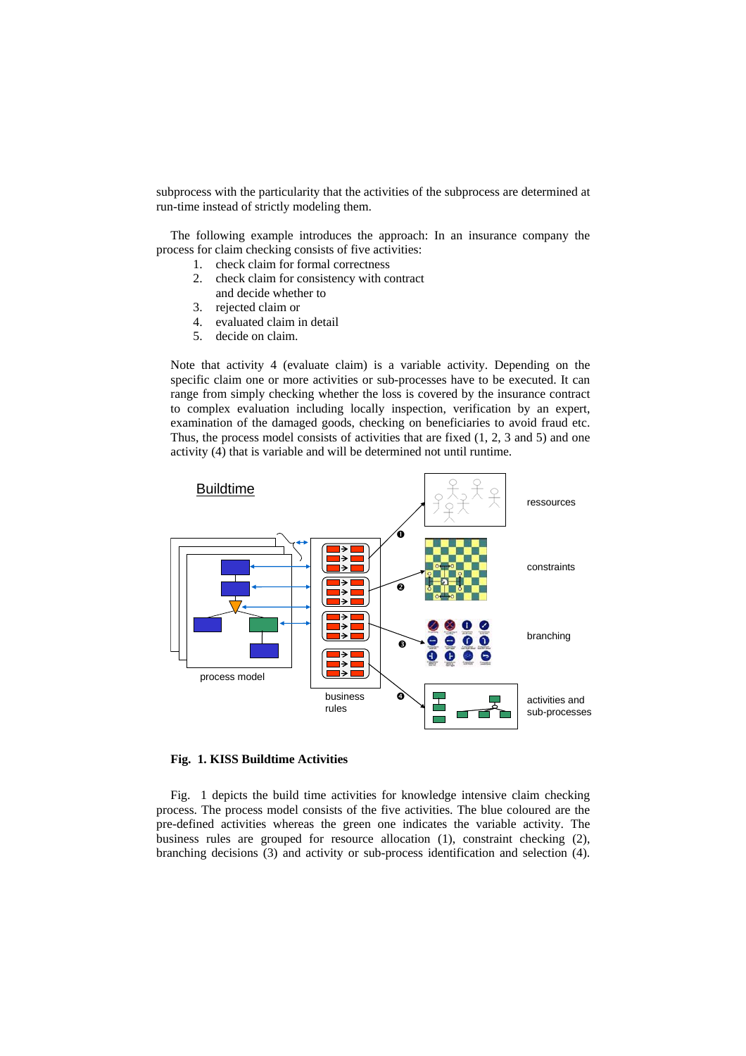subprocess with the particularity that the activities of the subprocess are determined at run-time instead of strictly modeling them.

The following example introduces the approach: In an insurance company the process for claim checking consists of five activities:

- 1. check claim for formal correctness
- 2. check claim for consistency with contract and decide whether to
- 3. rejected claim or
- 4. evaluated claim in detail
- 5. decide on claim.

Note that activity 4 (evaluate claim) is a variable activity. Depending on the specific claim one or more activities or sub-processes have to be executed. It can range from simply checking whether the loss is covered by the insurance contract to complex evaluation including locally inspection, verification by an expert, examination of the damaged goods, checking on beneficiaries to avoid fraud etc. Thus, the process model consists of activities that are fixed (1, 2, 3 and 5) and one activity (4) that is variable and will be determined not until runtime.



**Fig. 1. KISS Buildtime Activities** 

Fig. 1 depicts the build time activities for knowledge intensive claim checking process. The process model consists of the five activities. The blue coloured are the pre-defined activities whereas the green one indicates the variable activity. The business rules are grouped for resource allocation (1), constraint checking (2), branching decisions (3) and activity or sub-process identification and selection (4).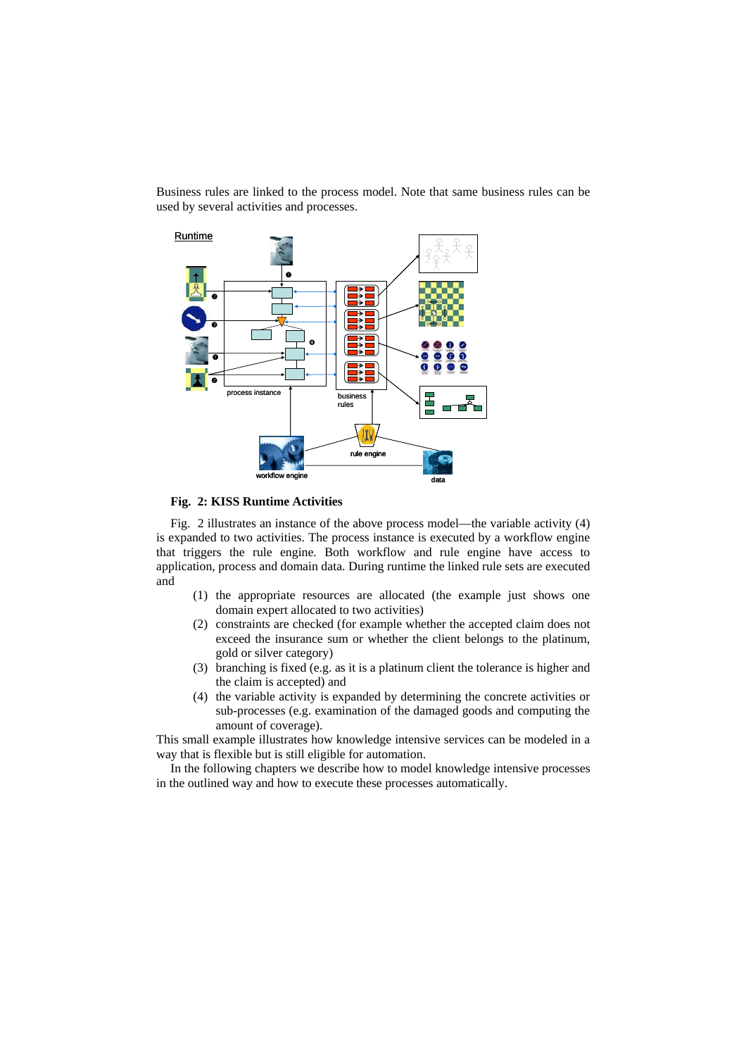

Business rules are linked to the process model. Note that same business rules can be used by several activities and processes.

### **Fig. 2: KISS Runtime Activities**

Fig. 2 illustrates an instance of the above process model—the variable activity (4) is expanded to two activities. The process instance is executed by a workflow engine that triggers the rule engine. Both workflow and rule engine have access to application, process and domain data. During runtime the linked rule sets are executed and

- (1) the appropriate resources are allocated (the example just shows one domain expert allocated to two activities)
- (2) constraints are checked (for example whether the accepted claim does not exceed the insurance sum or whether the client belongs to the platinum, gold or silver category)
- (3) branching is fixed (e.g. as it is a platinum client the tolerance is higher and the claim is accepted) and
- (4) the variable activity is expanded by determining the concrete activities or sub-processes (e.g. examination of the damaged goods and computing the amount of coverage).

This small example illustrates how knowledge intensive services can be modeled in a way that is flexible but is still eligible for automation.

In the following chapters we describe how to model knowledge intensive processes in the outlined way and how to execute these processes automatically.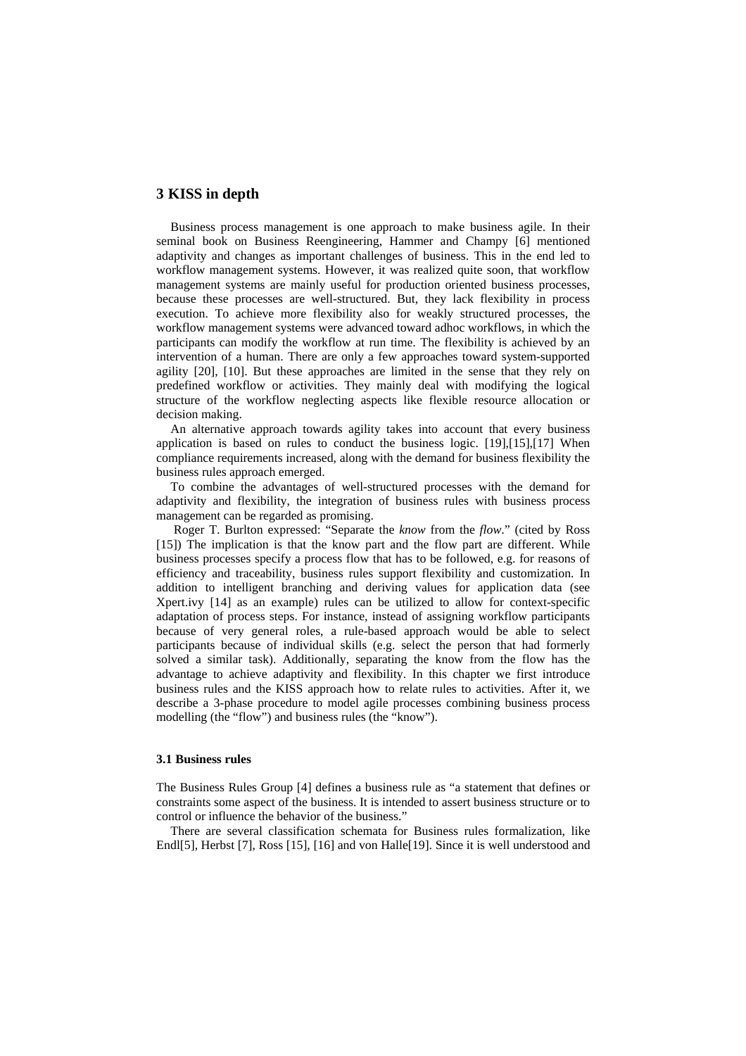# **3 KISS in depth**

Business process management is one approach to make business agile. In their seminal book on Business Reengineering, Hammer and Champy [6] mentioned adaptivity and changes as important challenges of business. This in the end led to workflow management systems. However, it was realized quite soon, that workflow management systems are mainly useful for production oriented business processes, because these processes are well-structured. But, they lack flexibility in process execution. To achieve more flexibility also for weakly structured processes, the workflow management systems were advanced toward adhoc workflows, in which the participants can modify the workflow at run time. The flexibility is achieved by an intervention of a human. There are only a few approaches toward system-supported agility [20], [10]. But these approaches are limited in the sense that they rely on predefined workflow or activities. They mainly deal with modifying the logical structure of the workflow neglecting aspects like flexible resource allocation or decision making.

An alternative approach towards agility takes into account that every business application is based on rules to conduct the business logic. [19],[15],[17] When compliance requirements increased, along with the demand for business flexibility the business rules approach emerged.

To combine the advantages of well-structured processes with the demand for adaptivity and flexibility, the integration of business rules with business process management can be regarded as promising.

 Roger T. Burlton expressed: "Separate the *know* from the *flow*." (cited by Ross [15]) The implication is that the know part and the flow part are different. While business processes specify a process flow that has to be followed, e.g. for reasons of efficiency and traceability, business rules support flexibility and customization. In addition to intelligent branching and deriving values for application data (see Xpert.ivy [14] as an example) rules can be utilized to allow for context-specific adaptation of process steps. For instance, instead of assigning workflow participants because of very general roles, a rule-based approach would be able to select participants because of individual skills (e.g. select the person that had formerly solved a similar task). Additionally, separating the know from the flow has the advantage to achieve adaptivity and flexibility. In this chapter we first introduce business rules and the KISS approach how to relate rules to activities. After it, we describe a 3-phase procedure to model agile processes combining business process modelling (the "flow") and business rules (the "know").

#### **3.1 Business rules**

The Business Rules Group [4] defines a business rule as "a statement that defines or constraints some aspect of the business. It is intended to assert business structure or to control or influence the behavior of the business."

There are several classification schemata for Business rules formalization, like Endl[5], Herbst [7], Ross [15], [16] and von Halle[19]. Since it is well understood and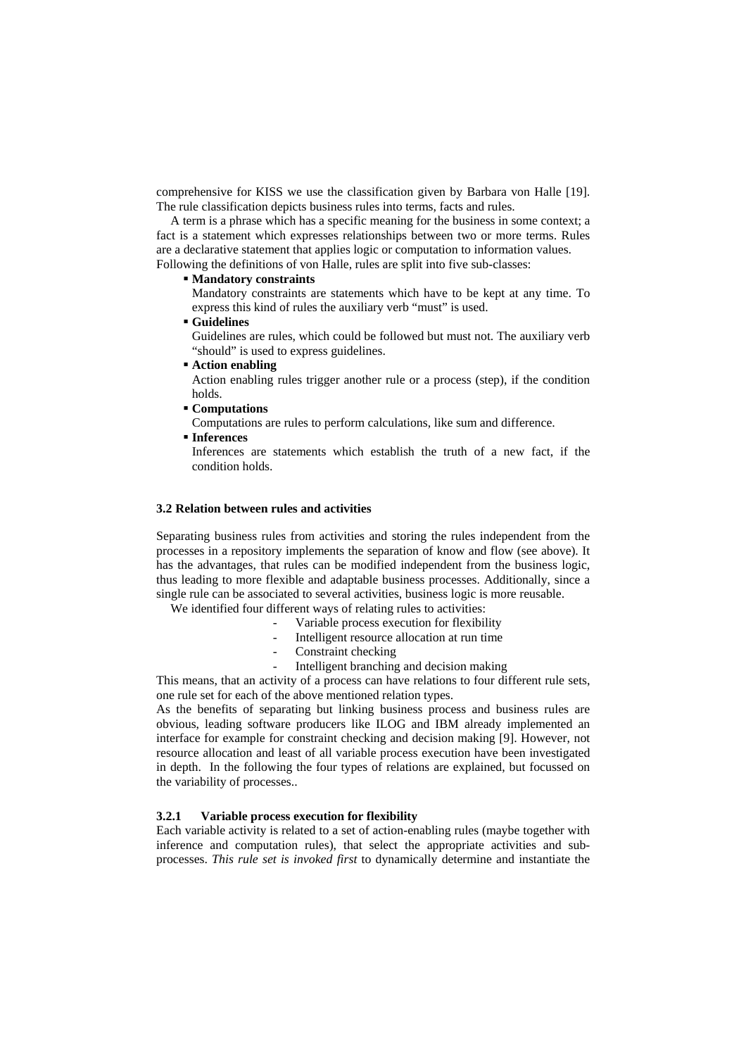comprehensive for KISS we use the classification given by Barbara von Halle [19]. The rule classification depicts business rules into terms, facts and rules.

A term is a phrase which has a specific meaning for the business in some context; a fact is a statement which expresses relationships between two or more terms. Rules are a declarative statement that applies logic or computation to information values. Following the definitions of von Halle, rules are split into five sub-classes:

**Mandatory constraints**

Mandatory constraints are statements which have to be kept at any time. To express this kind of rules the auxiliary verb "must" is used.

**Guidelines**

Guidelines are rules, which could be followed but must not. The auxiliary verb "should" is used to express guidelines.

**Action enabling** 

Action enabling rules trigger another rule or a process (step), if the condition holds.

**Computations**

Computations are rules to perform calculations, like sum and difference.

**Inferences**

Inferences are statements which establish the truth of a new fact, if the condition holds.

# **3.2 Relation between rules and activities**

Separating business rules from activities and storing the rules independent from the processes in a repository implements the separation of know and flow (see above). It has the advantages, that rules can be modified independent from the business logic, thus leading to more flexible and adaptable business processes. Additionally, since a single rule can be associated to several activities, business logic is more reusable.

We identified four different ways of relating rules to activities:

- Variable process execution for flexibility
- Intelligent resource allocation at run time
- Constraint checking
- Intelligent branching and decision making

This means, that an activity of a process can have relations to four different rule sets, one rule set for each of the above mentioned relation types.

As the benefits of separating but linking business process and business rules are obvious, leading software producers like ILOG and IBM already implemented an interface for example for constraint checking and decision making [9]. However, not resource allocation and least of all variable process execution have been investigated in depth. In the following the four types of relations are explained, but focussed on the variability of processes..

# **3.2.1 Variable process execution for flexibility**

Each variable activity is related to a set of action-enabling rules (maybe together with inference and computation rules), that select the appropriate activities and subprocesses. *This rule set is invoked first* to dynamically determine and instantiate the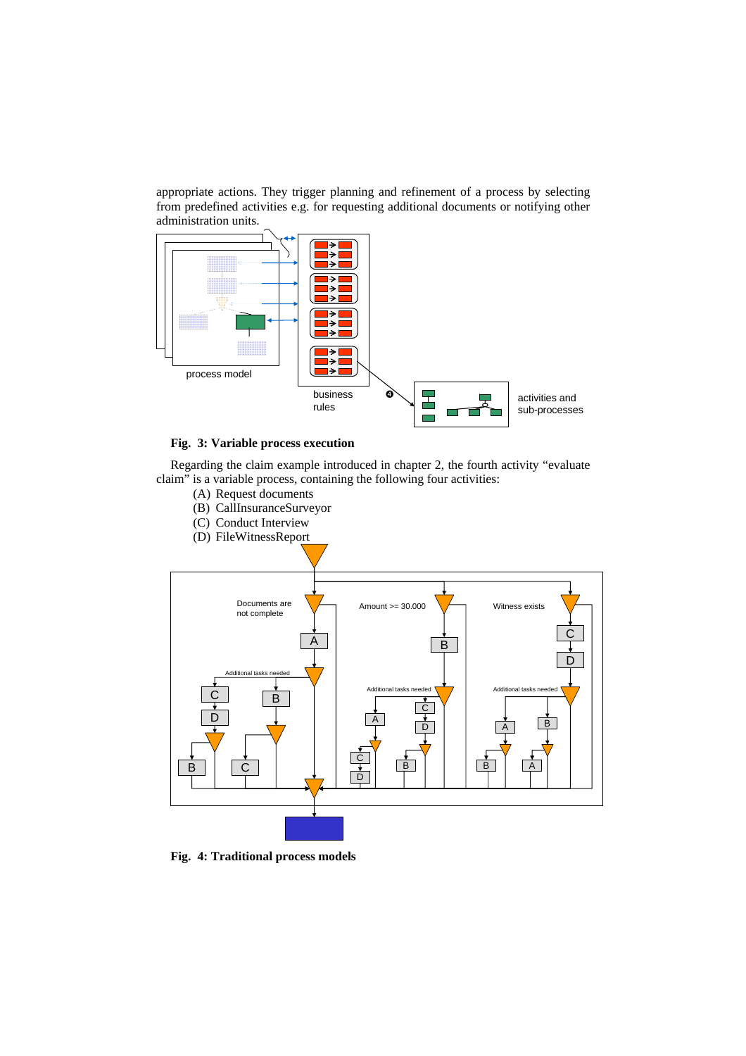appropriate actions. They trigger planning and refinement of a process by selecting from predefined activities e.g. for requesting additional documents or notifying other administration units.



**Fig. 3: Variable process execution** 

Regarding the claim example introduced in chapter 2, the fourth activity "evaluate claim" is a variable process, containing the following four activities:

- (A) Request documents
- (B) CallInsuranceSurveyor
- (C) Conduct Interview
- (D) FileWitnessReport



**Fig. 4: Traditional process models**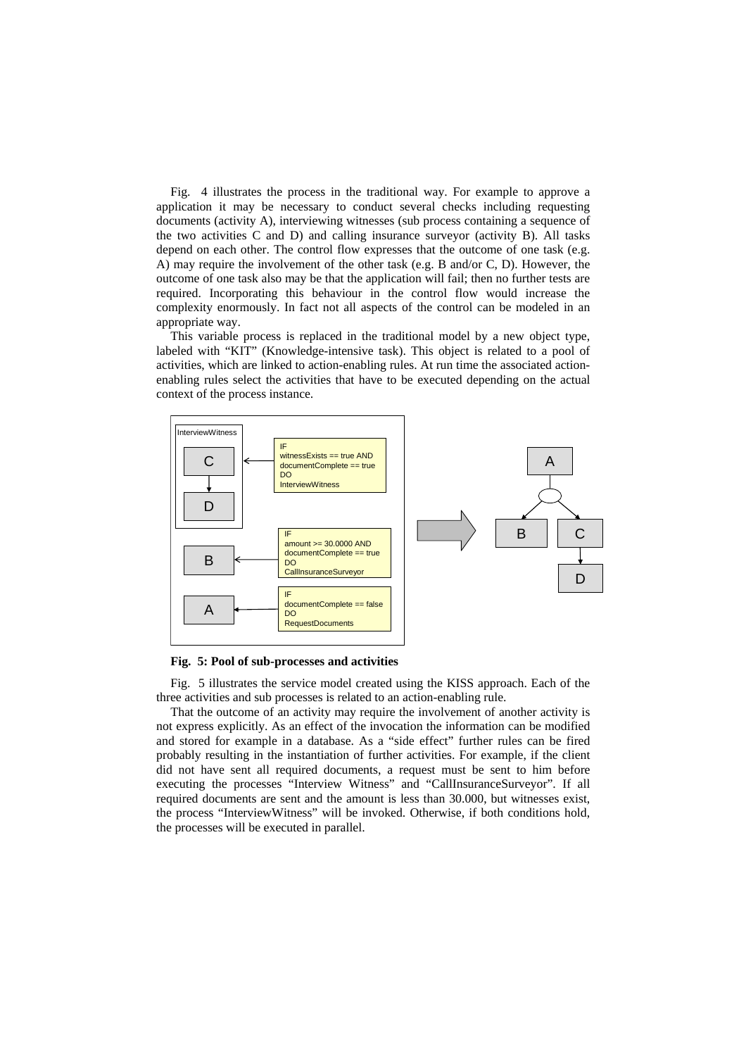Fig. 4 illustrates the process in the traditional way. For example to approve a application it may be necessary to conduct several checks including requesting documents (activity A), interviewing witnesses (sub process containing a sequence of the two activities C and D) and calling insurance surveyor (activity B). All tasks depend on each other. The control flow expresses that the outcome of one task (e.g. A) may require the involvement of the other task (e.g. B and/or C, D). However, the outcome of one task also may be that the application will fail; then no further tests are required. Incorporating this behaviour in the control flow would increase the complexity enormously. In fact not all aspects of the control can be modeled in an appropriate way.

This variable process is replaced in the traditional model by a new object type, labeled with "KIT" (Knowledge-intensive task). This object is related to a pool of activities, which are linked to action-enabling rules. At run time the associated actionenabling rules select the activities that have to be executed depending on the actual context of the process instance.



**Fig. 5: Pool of sub-processes and activities** 

Fig. 5 illustrates the service model created using the KISS approach. Each of the three activities and sub processes is related to an action-enabling rule.

That the outcome of an activity may require the involvement of another activity is not express explicitly. As an effect of the invocation the information can be modified and stored for example in a database. As a "side effect" further rules can be fired probably resulting in the instantiation of further activities. For example, if the client did not have sent all required documents, a request must be sent to him before executing the processes "Interview Witness" and "CallInsuranceSurveyor". If all required documents are sent and the amount is less than 30.000, but witnesses exist, the process "InterviewWitness" will be invoked. Otherwise, if both conditions hold, the processes will be executed in parallel.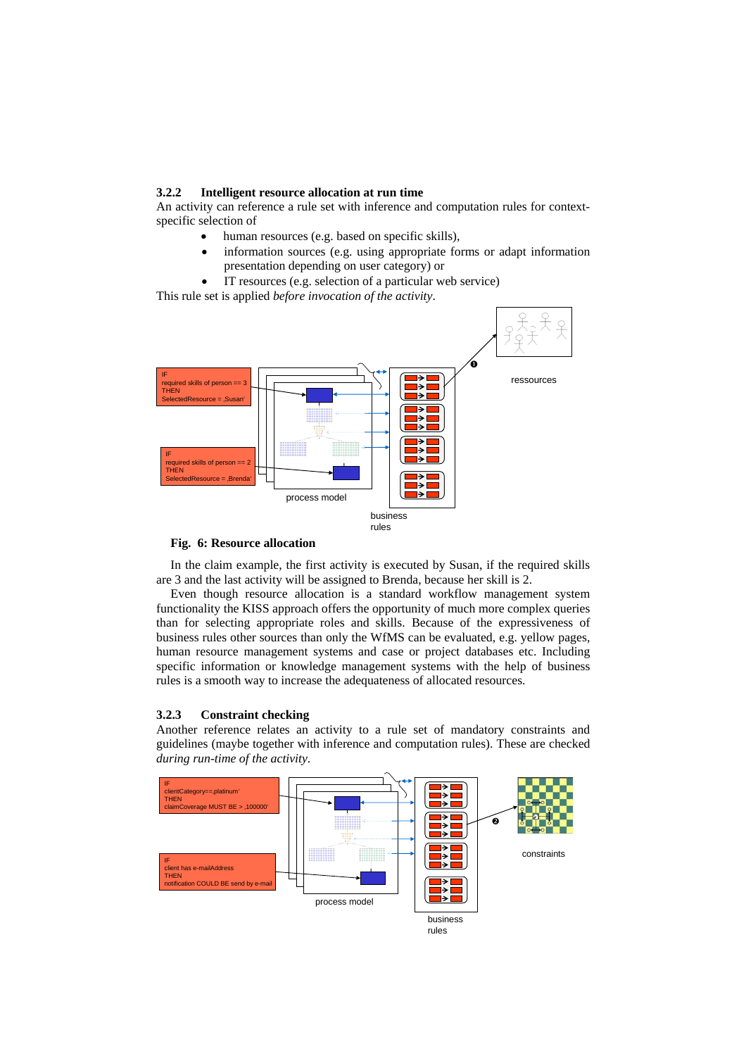#### **3.2.2 Intelligent resource allocation at run time**

An activity can reference a rule set with inference and computation rules for contextspecific selection of

- human resources (e.g. based on specific skills),
- information sources (e.g. using appropriate forms or adapt information presentation depending on user category) or
- IT resources (e.g. selection of a particular web service)

This rule set is applied *before invocation of the activity*.



## **Fig. 6: Resource allocation**

In the claim example, the first activity is executed by Susan, if the required skills are 3 and the last activity will be assigned to Brenda, because her skill is 2.

Even though resource allocation is a standard workflow management system functionality the KISS approach offers the opportunity of much more complex queries than for selecting appropriate roles and skills. Because of the expressiveness of business rules other sources than only the WfMS can be evaluated, e.g. yellow pages, human resource management systems and case or project databases etc. Including specific information or knowledge management systems with the help of business rules is a smooth way to increase the adequateness of allocated resources.

#### **3.2.3 Constraint checking**

Another reference relates an activity to a rule set of mandatory constraints and guidelines (maybe together with inference and computation rules). These are checked *during run-time of the activity*.

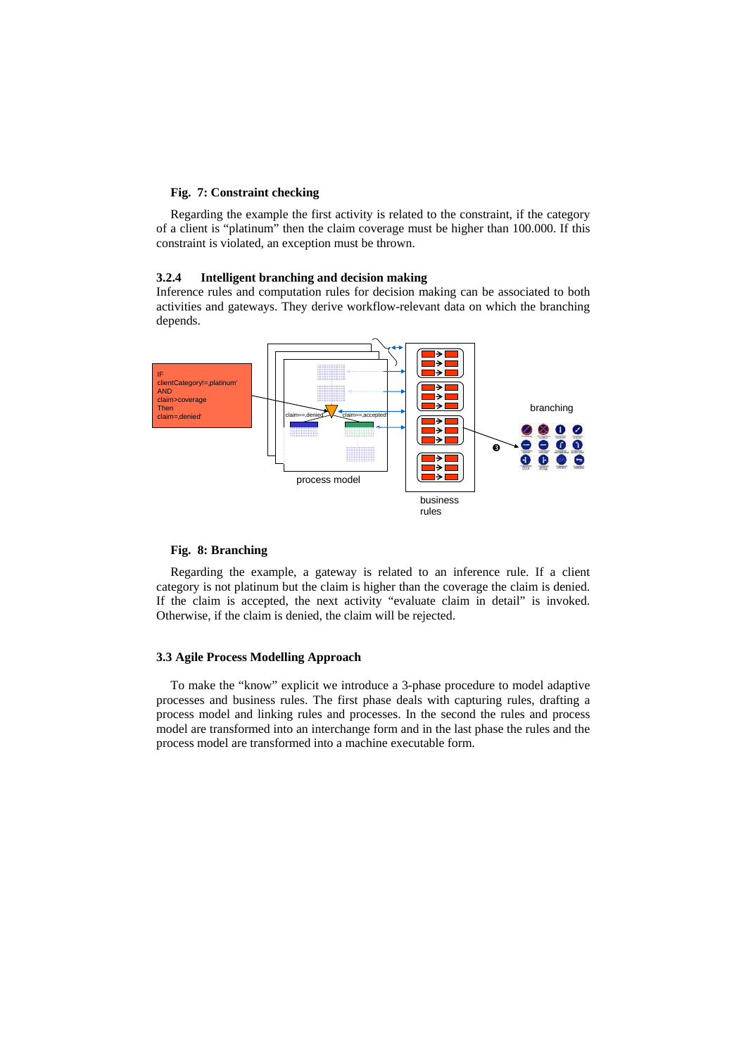#### **Fig. 7: Constraint checking**

Regarding the example the first activity is related to the constraint, if the category of a client is "platinum" then the claim coverage must be higher than 100.000. If this constraint is violated, an exception must be thrown.

#### **3.2.4 Intelligent branching and decision making**

Inference rules and computation rules for decision making can be associated to both activities and gateways. They derive workflow-relevant data on which the branching depends.



#### **Fig. 8: Branching**

Regarding the example, a gateway is related to an inference rule. If a client category is not platinum but the claim is higher than the coverage the claim is denied. If the claim is accepted, the next activity "evaluate claim in detail" is invoked. Otherwise, if the claim is denied, the claim will be rejected.

#### **3.3 Agile Process Modelling Approach**

To make the "know" explicit we introduce a 3-phase procedure to model adaptive processes and business rules. The first phase deals with capturing rules, drafting a process model and linking rules and processes. In the second the rules and process model are transformed into an interchange form and in the last phase the rules and the process model are transformed into a machine executable form.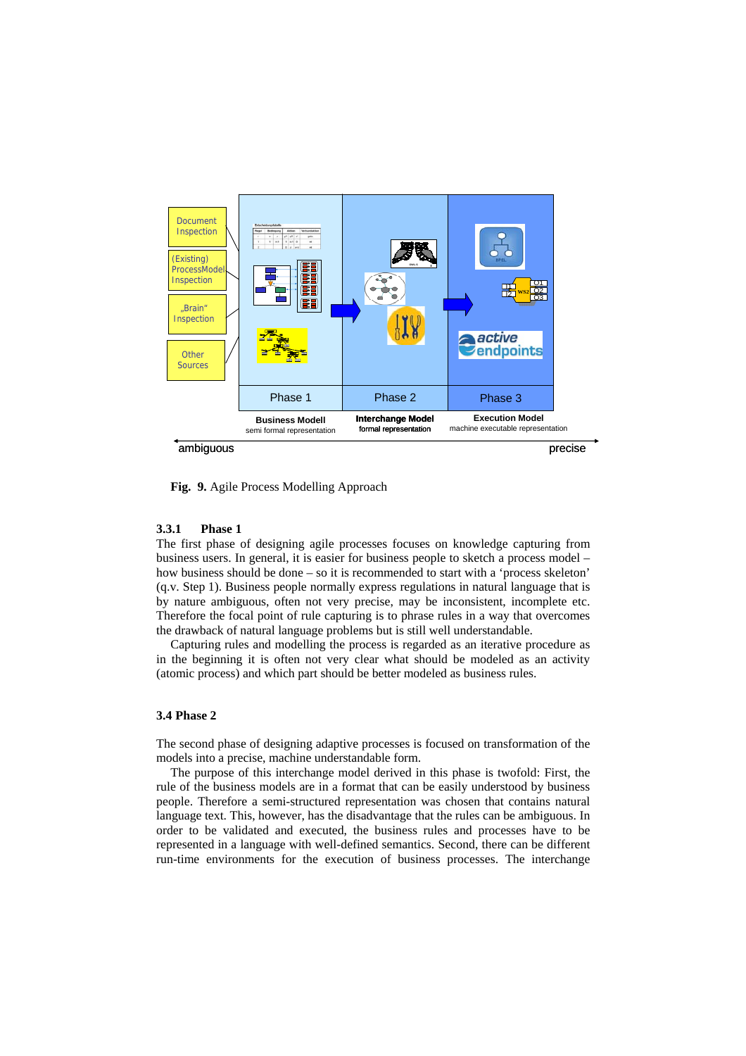

**Fig. 9.** Agile Process Modelling Approach

# **3.3.1 Phase 1**

The first phase of designing agile processes focuses on knowledge capturing from business users. In general, it is easier for business people to sketch a process model – how business should be done – so it is recommended to start with a 'process skeleton' (q.v. Step 1). Business people normally express regulations in natural language that is by nature ambiguous, often not very precise, may be inconsistent, incomplete etc. Therefore the focal point of rule capturing is to phrase rules in a way that overcomes the drawback of natural language problems but is still well understandable.

Capturing rules and modelling the process is regarded as an iterative procedure as in the beginning it is often not very clear what should be modeled as an activity (atomic process) and which part should be better modeled as business rules.

# **3.4 Phase 2**

The second phase of designing adaptive processes is focused on transformation of the models into a precise, machine understandable form.

The purpose of this interchange model derived in this phase is twofold: First, the rule of the business models are in a format that can be easily understood by business people. Therefore a semi-structured representation was chosen that contains natural language text. This, however, has the disadvantage that the rules can be ambiguous. In order to be validated and executed, the business rules and processes have to be represented in a language with well-defined semantics. Second, there can be different run-time environments for the execution of business processes. The interchange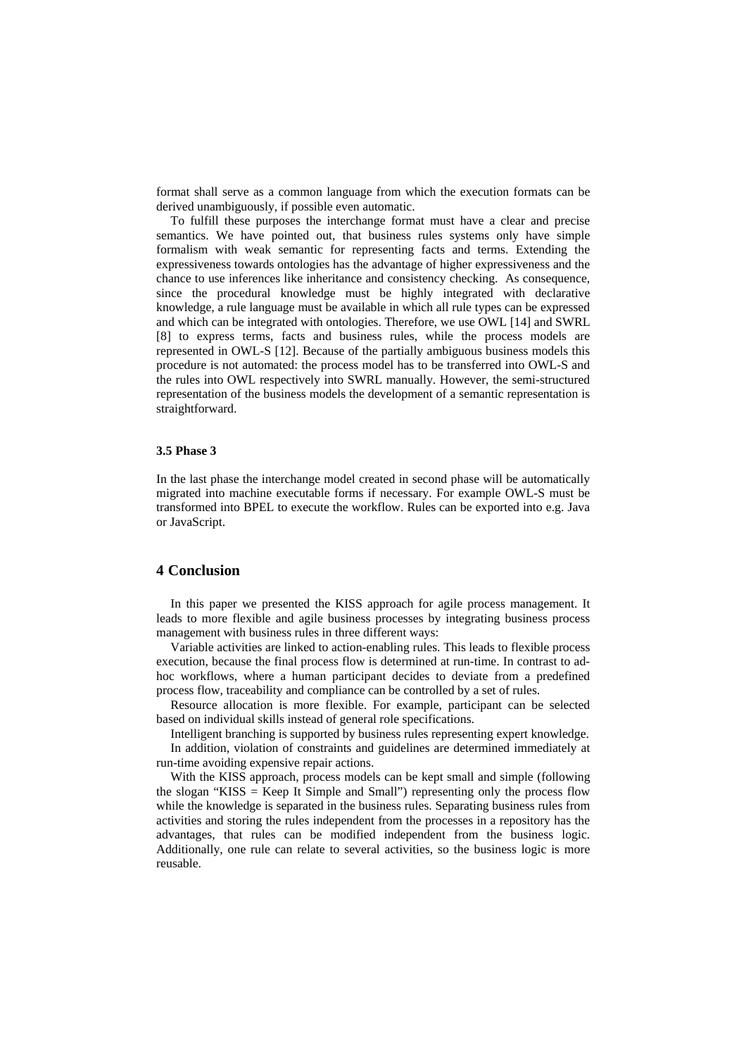format shall serve as a common language from which the execution formats can be derived unambiguously, if possible even automatic.

To fulfill these purposes the interchange format must have a clear and precise semantics. We have pointed out, that business rules systems only have simple formalism with weak semantic for representing facts and terms. Extending the expressiveness towards ontologies has the advantage of higher expressiveness and the chance to use inferences like inheritance and consistency checking. As consequence, since the procedural knowledge must be highly integrated with declarative knowledge, a rule language must be available in which all rule types can be expressed and which can be integrated with ontologies. Therefore, we use OWL [14] and SWRL [8] to express terms, facts and business rules, while the process models are represented in OWL-S [12]. Because of the partially ambiguous business models this procedure is not automated: the process model has to be transferred into OWL-S and the rules into OWL respectively into SWRL manually. However, the semi-structured representation of the business models the development of a semantic representation is straightforward.

# **3.5 Phase 3**

In the last phase the interchange model created in second phase will be automatically migrated into machine executable forms if necessary. For example OWL-S must be transformed into BPEL to execute the workflow. Rules can be exported into e.g. Java or JavaScript.

# **4 Conclusion**

In this paper we presented the KISS approach for agile process management. It leads to more flexible and agile business processes by integrating business process management with business rules in three different ways:

Variable activities are linked to action-enabling rules. This leads to flexible process execution, because the final process flow is determined at run-time. In contrast to adhoc workflows, where a human participant decides to deviate from a predefined process flow, traceability and compliance can be controlled by a set of rules.

Resource allocation is more flexible. For example, participant can be selected based on individual skills instead of general role specifications.

Intelligent branching is supported by business rules representing expert knowledge.

In addition, violation of constraints and guidelines are determined immediately at run-time avoiding expensive repair actions.

With the KISS approach, process models can be kept small and simple (following the slogan "KISS  $=$  Keep It Simple and Small") representing only the process flow while the knowledge is separated in the business rules. Separating business rules from activities and storing the rules independent from the processes in a repository has the advantages, that rules can be modified independent from the business logic. Additionally, one rule can relate to several activities, so the business logic is more reusable.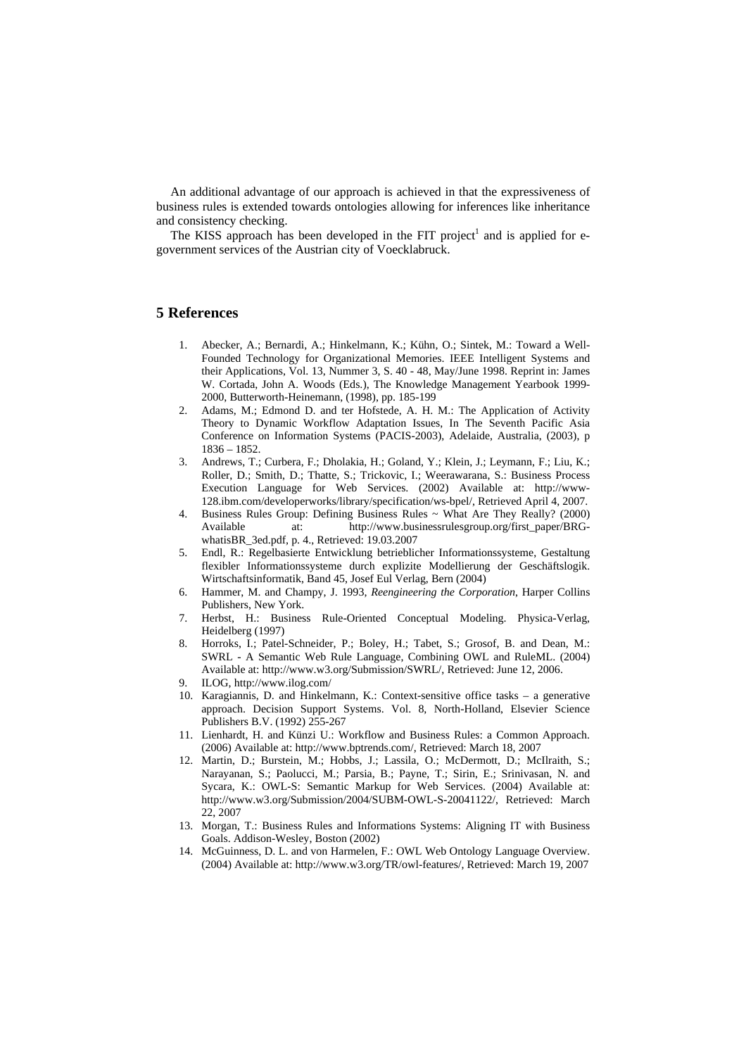An additional advantage of our approach is achieved in that the expressiveness of business rules is extended towards ontologies allowing for inferences like inheritance and consistency checking.

The KISS approach has been developed in the FIT project<sup>1</sup> and is applied for egovernment services of the Austrian city of Voecklabruck.

# **5 References**

- 1. Abecker, A.; Bernardi, A.; Hinkelmann, K.; Kühn, O.; Sintek, M.: Toward a Well-Founded Technology for Organizational Memories. IEEE Intelligent Systems and their Applications, Vol. 13, Nummer 3, S. 40 - 48, May/June 1998. Reprint in: James W. Cortada, John A. Woods (Eds.), The Knowledge Management Yearbook 1999- 2000, Butterworth-Heinemann, (1998), pp. 185-199
- 2. Adams, M.; Edmond D. and ter Hofstede, A. H. M.: The Application of Activity Theory to Dynamic Workflow Adaptation Issues, In The Seventh Pacific Asia Conference on Information Systems (PACIS-2003), Adelaide, Australia, (2003), p 1836 – 1852.
- 3. Andrews, T.; Curbera, F.; Dholakia, H.; Goland, Y.; Klein, J.; Leymann, F.; Liu, K.; Roller, D.; Smith, D.; Thatte, S.; Trickovic, I.; Weerawarana, S.: Business Process Execution Language for Web Services. (2002) Available at: http://www-128.ibm.com/developerworks/library/specification/ws-bpel/, Retrieved April 4, 2007.
- 4. Business Rules Group: Defining Business Rules ~ What Are They Really? (2000) Available at: http://www.businessrulesgroup.org/first\_paper/BRGwhatisBR\_3ed.pdf, p. 4., Retrieved: 19.03.2007
- 5. Endl, R.: Regelbasierte Entwicklung betrieblicher Informationssysteme, Gestaltung flexibler Informationssysteme durch explizite Modellierung der Geschäftslogik. Wirtschaftsinformatik, Band 45, Josef Eul Verlag, Bern (2004)
- 6. Hammer, M. and Champy, J. 1993, *Reengineering the Corporation*, Harper Collins Publishers, New York.
- 7. Herbst, H.: Business Rule-Oriented Conceptual Modeling. Physica-Verlag, Heidelberg (1997)
- 8. Horroks, I.; Patel-Schneider, P.; Boley, H.; Tabet, S.; Grosof, B. and Dean, M.: SWRL - A Semantic Web Rule Language, Combining OWL and RuleML. (2004) Available at: http://www.w3.org/Submission/SWRL/, Retrieved: June 12, 2006.
- 9. ILOG, http://www.ilog.com/
- 10. Karagiannis, D. and Hinkelmann, K.: Context-sensitive office tasks a generative approach. Decision Support Systems. Vol. 8, North-Holland, Elsevier Science Publishers B.V. (1992) 255-267
- 11. Lienhardt, H. and Künzi U.: Workflow and Business Rules: a Common Approach. (2006) Available at: http://www.bptrends.com/, Retrieved: March 18, 2007
- 12. Martin, D.; Burstein, M.; Hobbs, J.; Lassila, O.; McDermott, D.; McIlraith, S.; Narayanan, S.; Paolucci, M.; Parsia, B.; Payne, T.; Sirin, E.; Srinivasan, N. and Sycara, K.: OWL-S: Semantic Markup for Web Services. (2004) Available at: http://www.w3.org/Submission/2004/SUBM-OWL-S-20041122/, Retrieved: March 22, 2007
- 13. Morgan, T.: Business Rules and Informations Systems: Aligning IT with Business Goals. Addison-Wesley, Boston (2002)
- 14. McGuinness, D. L. and von Harmelen, F.: OWL Web Ontology Language Overview. (2004) Available at: http://www.w3.org/TR/owl-features/, Retrieved: March 19, 2007